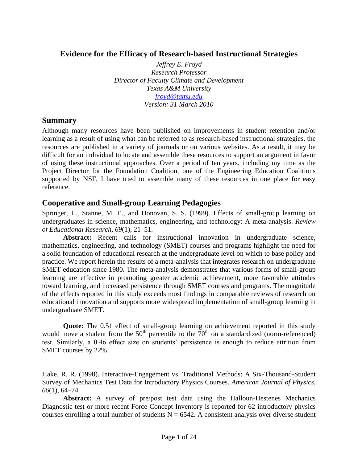# **Evidence for the Efficacy of Research-based Instructional Strategies**

*Jeffrey E. Froyd Research Professor Director of Faculty Climate and Development Texas A&M University [froyd@tamu.edu](mailto:froyd@tamu.edu) Version: 31 March 2010*

## **Summary**

Although many resources have been published on improvements in student retention and/or learning as a result of using what can be referred to as research-based instructional strategies, the resources are published in a variety of journals or on various websites. As a result, it may be difficult for an individual to locate and assemble these resources to support an argument in favor of using these instructional approaches. Over a period of ten years, including my time as the Project Director for the Foundation Coalition, one of the Engineering Education Coalitions supported by NSF, I have tried to assemble many of these resources in one place for easy reference.

## **Cooperative and Small-group Learning Pedagogies**

Springer, L., Stanne, M. E., and Donovan, S. S. (1999). Effects of small-group learning on undergraduates in science, mathematics, engineering, and technology: A meta-analysis. *Review of Educational Research, 69*(1), 21–51.

Abstract: Recent calls for instructional innovation in undergraduate science, mathematics, engineering, and technology (SMET) courses and programs highlight the need for a solid foundation of educational research at the undergraduate level on which to base policy and practice. We report herein the results of a meta-analysis that integrates research on undergraduate SMET education since 1980. The meta-analysis demonstrates that various forms of small-group learning are effective in promoting greater academic achievement, more favorable attitudes toward learning, and increased persistence through SMET courses and programs. The magnitude of the effects reported in this study exceeds most findings in comparable reviews of research on educational innovation and supports more widespread implementation of small-group learning in undergraduate SMET.

**Quote:** The 0.51 effect of small-group learning on achievement reported in this study would move a student from the  $50<sup>th</sup>$  percentile to the  $70<sup>th</sup>$  on a standardized (norm-referenced) test. Similarly, a 0.46 effect size on students' persistence is enough to reduce attrition from SMET courses by 22%.

Hake, R. R. (1998). Interactive-Engagement vs. Traditional Methods: A Six-Thousand-Student Survey of Mechanics Test Data for Introductory Physics Courses. *American Journal of Physics, 66*(1), 64–74

**Abstract:** A survey of pre/post test data using the Halloun-Hestenes Mechanics Diagnostic test or more recent Force Concept Inventory is reported for 62 introductory physics courses enrolling a total number of students  $N = 6542$ . A consistent analysis over diverse student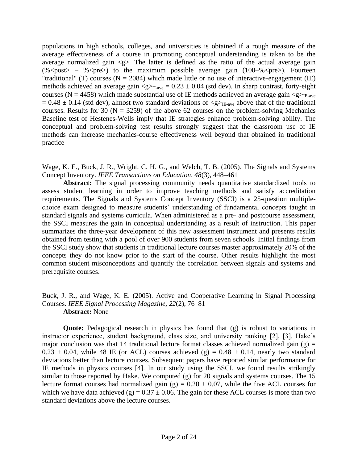populations in high schools, colleges, and universities is obtained if a rough measure of the average effectiveness of a course in promoting conceptual understanding is taken to be the average normalized gain  $\langle g \rangle$ . The latter is defined as the ratio of the actual average gain (% < post > – % < pre > to the maximum possible average gain (100–% < pre > pre > Fourteen "traditional" (T) courses ( $N = 2084$ ) which made little or no use of interactive-engagement (IE) methods achieved an average gain  $\langle g \rangle_{T\text{-ave}} = 0.23 \pm 0.04$  (std dev). In sharp contrast, forty-eight courses (N = 4458) which made substantial use of IE methods achieved an average gain  $\langle g \rangle_{\text{IE-ave}}$  $= 0.48 \pm 0.14$  (std dev), almost two standard deviations of  $\langle g \rangle$ <sub>IE-ave</sub> above that of the traditional courses. Results for 30 ( $N = 3259$ ) of the above 62 courses on the problem-solving Mechanics Baseline test of Hestenes-Wells imply that IE strategies enhance problem-solving ability. The conceptual and problem-solving test results strongly suggest that the classroom use of IE methods can increase mechanics-course effectiveness well beyond that obtained in traditional practice

Wage, K. E., Buck, J. R., Wright, C. H. G., and Welch, T. B. (2005). The Signals and Systems Concept Inventory. *IEEE Transactions on Education, 48*(3), 448–461

**Abstract:** The signal processing community needs quantitative standardized tools to assess student learning in order to improve teaching methods and satisfy accreditation requirements. The Signals and Systems Concept Inventory (SSCI) is a 25-question multiplechoice exam designed to measure students' understanding of fundamental concepts taught in standard signals and systems curricula. When administered as a pre- and postcourse assessment, the SSCI measures the gain in conceptual understanding as a result of instruction. This paper summarizes the three-year development of this new assessment instrument and presents results obtained from testing with a pool of over 900 students from seven schools. Initial findings from the SSCI study show that students in traditional lecture courses master approximately 20% of the concepts they do not know prior to the start of the course. Other results highlight the most common student misconceptions and quantify the correlation between signals and systems and prerequisite courses.

#### Buck, J. R., and Wage, K. E. (2005). Active and Cooperative Learning in Signal Processing Courses. *IEEE Signal Processing Magazine, 22*(2), 76–81 **Abstract:** None

**Quote:** Pedagogical research in physics has found that (g) is robust to variations in instructor experience, student background, class size, and university ranking [2], [3]. Hake's major conclusion was that 14 traditional lecture format classes achieved normalized gain  $(g)$  =  $0.23 \pm 0.04$ , while 48 IE (or ACL) courses achieved (g) = 0.48  $\pm$  0.14, nearly two standard deviations better than lecture courses. Subsequent papers have reported similar performance for IE methods in physics courses [4]. In our study using the SSCI, we found results strikingly similar to those reported by Hake. We computed (g) for 20 signals and systems courses. The 15 lecture format courses had normalized gain (g) =  $0.20 \pm 0.07$ , while the five ACL courses for which we have data achieved (g) =  $0.37 \pm 0.06$ . The gain for these ACL courses is more than two standard deviations above the lecture courses.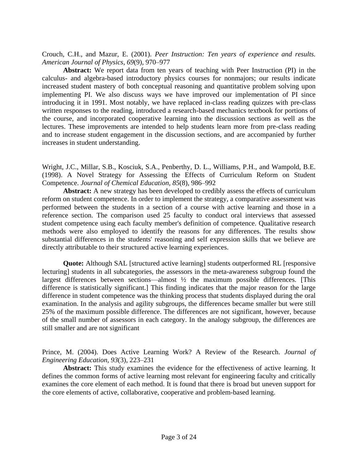Crouch, C.H., and Mazur, E. (2001). *Peer Instruction: Ten years of experience and results. American Journal of Physics, 69*(9), 970–977

**Abstract:** We report data from ten years of teaching with Peer Instruction (PI) in the calculus- and algebra-based introductory physics courses for nonmajors; our results indicate increased student mastery of both conceptual reasoning and quantitative problem solving upon implementing PI. We also discuss ways we have improved our implementation of PI since introducing it in 1991. Most notably, we have replaced in-class reading quizzes with pre-class written responses to the reading, introduced a research-based mechanics textbook for portions of the course, and incorporated cooperative learning into the discussion sections as well as the lectures. These improvements are intended to help students learn more from pre-class reading and to increase student engagement in the discussion sections, and are accompanied by further increases in student understanding.

Wright, J.C., Millar, S.B., Kosciuk, S.A., Penberthy, D. L., Williams, P.H., and Wampold, B.E. (1998). A Novel Strategy for Assessing the Effects of Curriculum Reform on Student Competence. *Journal of Chemical Education, 85*(8), 986–992

Abstract: A new strategy has been developed to credibly assess the effects of curriculum reform on student competence. In order to implement the strategy, a comparative assessment was performed between the students in a section of a course with active learning and those in a reference section. The comparison used 25 faculty to conduct oral interviews that assessed student competence using each faculty member's definition of competence. Qualitative research methods were also employed to identify the reasons for any differences. The results show substantial differences in the students' reasoning and self expression skills that we believe are directly attributable to their structured active learning experiences.

**Quote:** Although SAL [structured active learning] students outperformed RL [responsive lecturing] students in all subcategories, the assessors in the meta-awareness subgroup found the largest differences between sections—almost  $\frac{1}{2}$  the maximum possible differences. [This difference is statistically significant.] This finding indicates that the major reason for the large difference in student competence was the thinking process that students displayed during the oral examination. In the analysis and agility subgroups, the differences became smaller but were still 25% of the maximum possible difference. The differences are not significant, however, because of the small number of assessors in each category. In the analogy subgroup, the differences are still smaller and are not significant

Prince, M. (2004). Does Active Learning Work? A Review of the Research. *Journal of Engineering Education, 93*(3), 223–231

**Abstract:** This study examines the evidence for the effectiveness of active learning. It defines the common forms of active learning most relevant for engineering faculty and critically examines the core element of each method. It is found that there is broad but uneven support for the core elements of active, collaborative, cooperative and problem-based learning.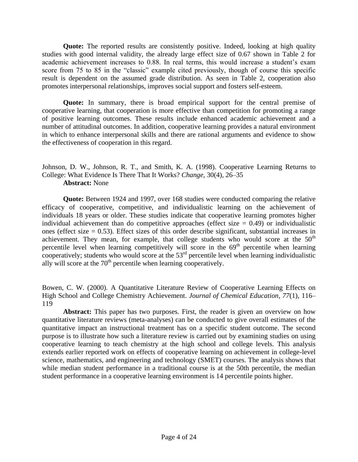**Quote:** The reported results are consistently positive. Indeed, looking at high quality studies with good internal validity, the already large effect size of 0.67 shown in Table 2 for academic achievement increases to 0.88. In real terms, this would increase a student's exam score from 75 to 85 in the "classic" example cited previously, though of course this specific result is dependent on the assumed grade distribution. As seen in Table 2, cooperation also promotes interpersonal relationships, improves social support and fosters self-esteem.

**Quote:** In summary, there is broad empirical support for the central premise of cooperative learning, that cooperation is more effective than competition for promoting a range of positive learning outcomes. These results include enhanced academic achievement and a number of attitudinal outcomes. In addition, cooperative learning provides a natural environment in which to enhance interpersonal skills and there are rational arguments and evidence to show the effectiveness of cooperation in this regard.

#### Johnson, D. W., Johnson, R. T., and Smith, K. A. (1998). Cooperative Learning Returns to College: What Evidence Is There That It Works? *Change*, 30(4), 26–35 **Abstract:** None

**Quote:** Between 1924 and 1997, over 168 studies were conducted comparing the relative efficacy of cooperative, competitive, and individualistic learning on the achievement of individuals 18 years or older. These studies indicate that cooperative learning promotes higher individual achievement than do competitive approaches (effect size  $= 0.49$ ) or individualistic ones (effect size = 0.53). Effect sizes of this order describe significant, substantial increases in achievement. They mean, for example, that college students who would score at the  $50<sup>th</sup>$ percentile level when learning competitively will score in the  $69<sup>th</sup>$  percentile when learning cooperatively; students who would score at the  $53<sup>rd</sup>$  percentile level when learning individualistic ally will score at the  $70<sup>th</sup>$  percentile when learning cooperatively.

Bowen, C. W. (2000). A Quantitative Literature Review of Cooperative Learning Effects on High School and College Chemistry Achievement. *Journal of Chemical Education, 77*(1), 116– 119

**Abstract:** This paper has two purposes. First, the reader is given an overview on how quantitative literature reviews (meta-analyses) can be conducted to give overall estimates of the quantitative impact an instructional treatment has on a specific student outcome. The second purpose is to illustrate how such a literature review is carried out by examining studies on using cooperative learning to teach chemistry at the high school and college levels. This analysis extends earlier reported work on effects of cooperative learning on achievement in college-level science, mathematics, and engineering and technology (SMET) courses. The analysis shows that while median student performance in a traditional course is at the 50th percentile, the median student performance in a cooperative learning environment is 14 percentile points higher.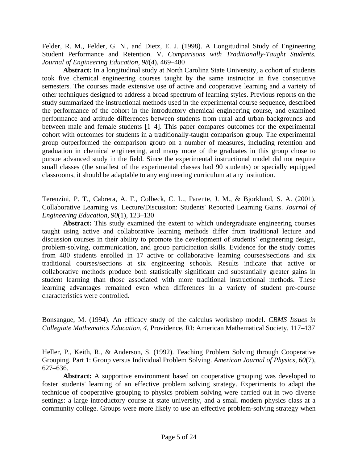Felder, R. M., Felder, G. N., and Dietz, E. J. (1998). A Longitudinal Study of Engineering Student Performance and Retention. V. *Comparisons with Traditionally-Taught Students. Journal of Engineering Education, 98*(4), 469–480

**Abstract:** In a longitudinal study at North Carolina State University, a cohort of students took five chemical engineering courses taught by the same instructor in five consecutive semesters. The courses made extensive use of active and cooperative learning and a variety of other techniques designed to address a broad spectrum of learning styles. Previous reports on the study summarized the instructional methods used in the experimental course sequence, described the performance of the cohort in the introductory chemical engineering course, and examined performance and attitude differences between students from rural and urban backgrounds and between male and female students [1–4]. This paper compares outcomes for the experimental cohort with outcomes for students in a traditionally-taught comparison group. The experimental group outperformed the comparison group on a number of measures, including retention and graduation in chemical engineering, and many more of the graduates in this group chose to pursue advanced study in the field. Since the experimental instructional model did not require small classes (the smallest of the experimental classes had 90 students) or specially equipped classrooms, it should be adaptable to any engineering curriculum at any institution.

Terenzini, P. T., Cabrera, A. F., Colbeck, C. L., Parente, J. M., & Bjorklund, S. A. (2001). Collaborative Learning vs. Lecture/Discussion: Students' Reported Learning Gains. *Journal of Engineering Education, 90*(1), 123–130

**Abstract:** This study examined the extent to which undergraduate engineering courses taught using active and collaborative learning methods differ from traditional lecture and discussion courses in their ability to promote the development of students' engineering design, problem-solving, communication, and group participation skills. Evidence for the study comes from 480 students enrolled in 17 active or collaborative learning courses/sections and six traditional courses/sections at six engineering schools. Results indicate that active or collaborative methods produce both statistically significant and substantially greater gains in student learning than those associated with more traditional instructional methods. These learning advantages remained even when differences in a variety of student pre-course characteristics were controlled.

Bonsangue, M. (1994). An efficacy study of the calculus workshop model. *CBMS Issues in Collegiate Mathematics Education, 4*, Providence, RI: American Mathematical Society, 117–137

Heller, P., Keith, R., & Anderson, S. (1992). Teaching Problem Solving through Cooperative Grouping. Part 1: Group versus Individual Problem Solving. *American Journal of Physics, 60*(7), 627–636.

**Abstract:** A supportive environment based on cooperative grouping was developed to foster students' learning of an effective problem solving strategy. Experiments to adapt the technique of cooperative grouping to physics problem solving were carried out in two diverse settings: a large introductory course at state university, and a small modern physics class at a community college. Groups were more likely to use an effective problem-solving strategy when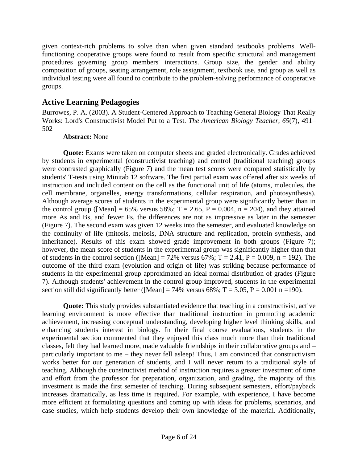given context-rich problems to solve than when given standard textbooks problems. Wellfunctioning cooperative groups were found to result from specific structural and management procedures governing group members' interactions. Group size, the gender and ability composition of groups, seating arrangement, role assignment, textbook use, and group as well as individual testing were all found to contribute to the problem-solving performance of cooperative groups.

# **Active Learning Pedagogies**

Burrowes, P. A. (2003). A Student-Centered Approach to Teaching General Biology That Really Works: Lord's Constructivist Model Put to a Test. *The American Biology Teacher, 65*(7), 491– 502

#### **Abstract:** None

**Quote:** Exams were taken on computer sheets and graded electronically. Grades achieved by students in experimental (constructivist teaching) and control (traditional teaching) groups were contrasted graphically (Figure 7) and the mean test scores were compared statistically by students' T-tests using Minitab 12 software. The first partial exam was offered after six weeks of instruction and included content on the cell as the functional unit of life (atoms, molecules, the cell membrane, organelles, energy transformations, cellular respiration, and photosynthesis). Although average scores of students in the experimental group were significantly better than in the control group ([Mean] = 65% versus 58%;  $T = 2.65$ ,  $P = 0.004$ ,  $n = 204$ ), and they attained more As and Bs, and fewer Fs, the differences are not as impressive as later in the semester (Figure 7). The second exam was given 12 weeks into the semester, and evaluated knowledge on the continuity of life (mitosis, meiosis, DNA structure and replication, protein synthesis, and inheritance). Results of this exam showed grade improvement in both groups (Figure 7); however, the mean score of students in the experimental group was significantly higher than that of students in the control section ([Mean] = 72% versus 67%;  $T = 2.41$ ,  $P = 0.009$ ,  $n = 192$ ). The outcome of the third exam (evolution and origin of life) was striking because performance of students in the experimental group approximated an ideal normal distribution of grades (Figure 7). Although students' achievement in the control group improved, students in the experimental section still did significantly better ([Mean] = 74% versus  $68\%$ ; T = 3.05, P = 0.001 n = 190).

**Quote:** This study provides substantiated evidence that teaching in a constructivist, active learning environment is more effective than traditional instruction in promoting academic achievement, increasing conceptual understanding, developing higher level thinking skills, and enhancing students interest in biology. In their final course evaluations, students in the experimental section commented that they enjoyed this class much more than their traditional classes, felt they had learned more, made valuable friendships in their collaborative groups and – particularly important to me – they never fell asleep! Thus, I am convinced that constructivism works better for our generation of students, and I will never return to a traditional style of teaching. Although the constructivist method of instruction requires a greater investment of time and effort from the professor for preparation, organization, and grading, the majority of this investment is made the first semester of teaching. During subsequent semesters, effort/payback increases dramatically, as less time is required. For example, with experience, I have become more efficient at formulating questions and coming up with ideas for problems, scenarios, and case studies, which help students develop their own knowledge of the material. Additionally,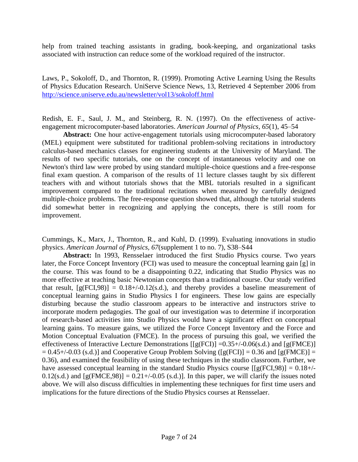help from trained teaching assistants in grading, book-keeping, and organizational tasks associated with instruction can reduce some of the workload required of the instructor.

Laws, P., Sokoloff, D., and Thornton, R. (1999). Promoting Active Learning Using the Results of Physics Education Research. UniServe Science News, 13, Retrieved 4 September 2006 from <http://science.uniserve.edu.au/newsletter/vol13/sokoloff.html>

Redish, E. F., Saul, J. M., and Steinberg, R. N. (1997). On the effectiveness of activeengagement microcomputer-based laboratories. *American Journal of Physics, 65*(1), 45–54

**Abstract:** One hour active-engagement tutorials using microcomputer-based laboratory (MEL) equipment were substituted for traditional problem-solving recitations in introductory calculus-based mechanics classes for engineering students at the University of Maryland. The results of two specific tutorials, one on the concept of instantaneous velocity and one on Newton's third law were probed by using standard multiple-choice questions and a free-response final exam question. A comparison of the results of 11 lecture classes taught by six different teachers with and without tutorials shows that the MBL tutorials resulted in a significant improvement compared to the traditional recitations when measured by carefully designed multiple-choice problems. The free-response question showed that, although the tutorial students did somewhat better in recognizing and applying the concepts, there is still room for improvement.

Cummings, K., Marx, J., Thornton, R., and Kuhl, D. (1999). Evaluating innovations in studio physics. *American Journal of Physics, 67*(supplement 1 to no. 7), S38–S44

**Abstract:** In 1993, Rensselaer introduced the first Studio Physics course. Two years later, the Force Concept Inventory (FCI) was used to measure the conceptual learning gain [g] in the course. This was found to be a disappointing 0.22, indicating that Studio Physics was no more effective at teaching basic Newtonian concepts than a traditional course. Our study verified that result,  $[g(FCI, 98)] = 0.18 + (-0.12)(s.d.)$ , and thereby provides a baseline measurement of conceptual learning gains in Studio Physics I for engineers. These low gains are especially disturbing because the studio classroom appears to be interactive and instructors strive to incorporate modern pedagogies. The goal of our investigation was to determine if incorporation of research-based activities into Studio Physics would have a significant effect on conceptual learning gains. To measure gains, we utilized the Force Concept Inventory and the Force and Motion Conceptual Evaluation (FMCE). In the process of pursuing this goal, we verified the effectiveness of Interactive Lecture Demonstrations  $\left[ \left[ g(FCI) \right] = 0.35 + / -0.06(s.d.) \right]$  and  $\left[ g(FMCE) \right]$  $= 0.45 + (-0.03$  (s.d.)] and Cooperative Group Problem Solving ([g(FCI)] = 0.36 and [g(FMCE)] = 0.36), and examined the feasibility of using these techniques in the studio classroom. Further, we have assessed conceptual learning in the standard Studio Physics course  $[[g(FCI, 98)] = 0.18$ +/-0.12(s.d.) and  $[g(FMCE, 98)] = 0.21 + (-0.05$  (s.d.)]. In this paper, we will clarify the issues noted above. We will also discuss difficulties in implementing these techniques for first time users and implications for the future directions of the Studio Physics courses at Rensselaer.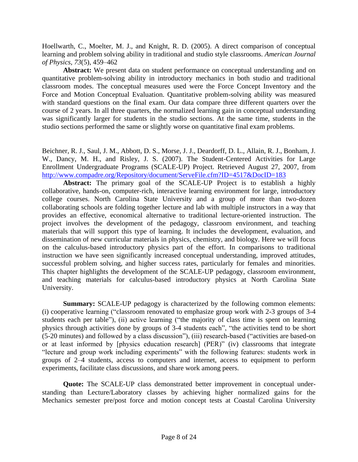Hoellwarth, C., Moelter, M. J., and Knight, R. D. (2005). A direct comparison of conceptual learning and problem solving ability in traditional and studio style classrooms. *American Journal of Physics, 73*(5), 459–462

**Abstract:** We present data on student performance on conceptual understanding and on quantitative problem-solving ability in introductory mechanics in both studio and traditional classroom modes. The conceptual measures used were the Force Concept Inventory and the Force and Motion Conceptual Evaluation. Quantitative problem-solving ability was measured with standard questions on the final exam. Our data compare three different quarters over the course of 2 years. In all three quarters, the normalized learning gain in conceptual understanding was significantly larger for students in the studio sections. At the same time, students in the studio sections performed the same or slightly worse on quantitative final exam problems.

Beichner, R. J., Saul, J. M., Abbott, D. S., Morse, J. J., Deardorff, D. L., Allain, R. J., Bonham, J. W., Dancy, M. H., and Risley, J. S. (2007). The Student-Centered Activities for Large Enrollment Undergraduate Programs (SCALE-UP) Project. Retrieved August 27, 2007, from <http://www.compadre.org/Repository/document/ServeFile.cfm?ID=4517&DocID=183>

**Abstract:** The primary goal of the SCALE-UP Project is to establish a highly collaborative, hands-on, computer-rich, interactive learning environment for large, introductory college courses. North Carolina State University and a group of more than two-dozen collaborating schools are folding together lecture and lab with multiple instructors in a way that provides an effective, economical alternative to traditional lecture-oriented instruction. The project involves the development of the pedagogy, classroom environment, and teaching materials that will support this type of learning. It includes the development, evaluation, and dissemination of new curricular materials in physics, chemistry, and biology. Here we will focus on the calculus-based introductory physics part of the effort. In comparisons to traditional instruction we have seen significantly increased conceptual understanding, improved attitudes, successful problem solving, and higher success rates, particularly for females and minorities. This chapter highlights the development of the SCALE-UP pedagogy, classroom environment, and teaching materials for calculus-based introductory physics at North Carolina State University.

**Summary:** SCALE-UP pedagogy is characterized by the following common elements:  $(i)$  cooperative learning ("classroom renovated to emphasize group work with 2-3 groups of 3-4 students each per table"), (ii) active learning ("the majority of class time is spent on learning physics through activities done by groups of 3-4 students each", "the activities tend to be short  $(5-20 \text{ minutes})$  and followed by a class discussion"), (iii) research-based ("activities are based-on or at least informed by [physics education research] (PER)" (iv) classrooms that integrate ―lecture and group work including experiments‖ with the following features: students work in groups of 2–4 students, access to computers and internet, access to equipment to perform experiments, facilitate class discussions, and share work among peers.

**Quote:** The SCALE-UP class demonstrated better improvement in conceptual understanding than Lecture/Laboratory classes by achieving higher normalized gains for the Mechanics semester pre/post force and motion concept tests at Coastal Carolina University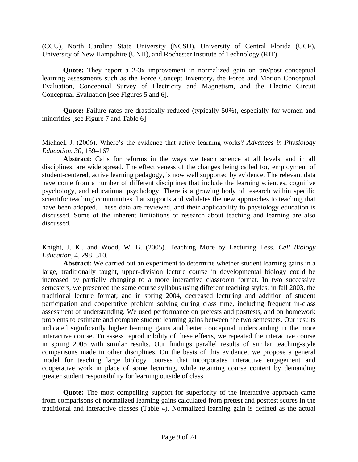(CCU), North Carolina State University (NCSU), University of Central Florida (UCF), University of New Hampshire (UNH), and Rochester Institute of Technology (RIT).

**Quote:** They report a 2-3x improvement in normalized gain on pre/post conceptual learning assessments such as the Force Concept Inventory, the Force and Motion Conceptual Evaluation, Conceptual Survey of Electricity and Magnetism, and the Electric Circuit Conceptual Evaluation [see Figures 5 and 6].

**Quote:** Failure rates are drastically reduced (typically 50%), especially for women and minorities [see Figure 7 and Table 6]

Michael, J. (2006). Where's the evidence that active learning works? *Advances in Physiology Education, 30*, 159–167

**Abstract:** Calls for reforms in the ways we teach science at all levels, and in all disciplines, are wide spread. The effectiveness of the changes being called for, employment of student-centered, active learning pedagogy, is now well supported by evidence. The relevant data have come from a number of different disciplines that include the learning sciences, cognitive psychology, and educational psychology. There is a growing body of research within specific scientific teaching communities that supports and validates the new approaches to teaching that have been adopted. These data are reviewed, and their applicability to physiology education is discussed. Some of the inherent limitations of research about teaching and learning are also discussed.

Knight, J. K., and Wood, W. B. (2005). Teaching More by Lecturing Less. *Cell Biology Education, 4*, 298–310.

**Abstract:** We carried out an experiment to determine whether student learning gains in a large, traditionally taught, upper-division lecture course in developmental biology could be increased by partially changing to a more interactive classroom format. In two successive semesters, we presented the same course syllabus using different teaching styles: in fall 2003, the traditional lecture format; and in spring 2004, decreased lecturing and addition of student participation and cooperative problem solving during class time, including frequent in-class assessment of understanding. We used performance on pretests and posttests, and on homework problems to estimate and compare student learning gains between the two semesters. Our results indicated significantly higher learning gains and better conceptual understanding in the more interactive course. To assess reproducibility of these effects, we repeated the interactive course in spring 2005 with similar results. Our findings parallel results of similar teaching-style comparisons made in other disciplines. On the basis of this evidence, we propose a general model for teaching large biology courses that incorporates interactive engagement and cooperative work in place of some lecturing, while retaining course content by demanding greater student responsibility for learning outside of class.

**Quote:** The most compelling support for superiority of the interactive approach came from comparisons of normalized learning gains calculated from pretest and posttest scores in the traditional and interactive classes (Table 4). Normalized learning gain is defined as the actual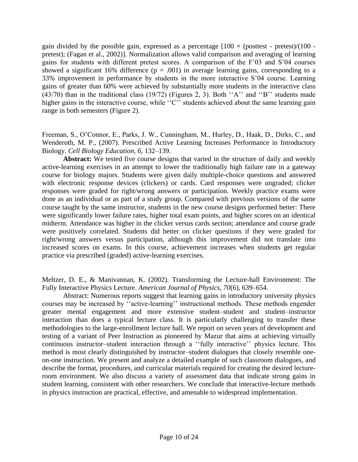gain divided by the possible gain, expressed as a percentage  $[100 \times (postest - pretest)/(100$ pretest); (Fagan et al., 2002)]. Normalization allows valid comparison and averaging of learning gains for students with different pretest scores. A comparison of the F'03 and S'04 courses showed a significant 16% difference  $(p = .001)$  in average learning gains, corresponding to a 33% improvement in performance by students in the more interactive S'04 course. Learning gains of greater than 60% were achieved by substantially more students in the interactive class  $(43/70)$  than in the traditional class  $(19/72)$  (Figures 2, 3). Both "A" and "B" students made higher gains in the interactive course, while "C" students achieved about the same learning gain range in both semesters (Figure 2).

Freeman, S., O'Connor, E., Parks, J. W., Cunningham, M., Hurley, D., Haak, D., Dirks, C., and Wenderoth, M. P., (2007). Prescribed Active Learning Increases Performance in Introductory Biology. *Cell Biology Education, 6*, 132–139.

**Abstract:** We tested five course designs that varied in the structure of daily and weekly active-learning exercises in an attempt to lower the traditionally high failure rate in a gateway course for biology majors. Students were given daily multiple-choice questions and answered with electronic response devices (clickers) or cards. Card responses were ungraded; clicker responses were graded for right/wrong answers or participation. Weekly practice exams were done as an individual or as part of a study group. Compared with previous versions of the same course taught by the same instructor, students in the new course designs performed better: There were significantly lower failure rates, higher total exam points, and higher scores on an identical midterm. Attendance was higher in the clicker versus cards section; attendance and course grade were positively correlated. Students did better on clicker questions if they were graded for right/wrong answers versus participation, although this improvement did not translate into increased scores on exams. In this course, achievement increases when students get regular practice via prescribed (graded) active-learning exercises.

Meltzer, D. E., & Manivannan, K. (2002). Transforming the Lecture-hall Environment: The Fully Interactive Physics Lecture. *American Journal of Physics, 70*(6), 639–654.

Abstract: Numerous reports suggest that learning gains in introductory university physics courses may be increased by "active-learning" instructional methods. These methods engender greater mental engagement and more extensive student–student and student–instructor interaction than does a typical lecture class. It is particularly challenging to transfer these methodologies to the large-enrollment lecture hall. We report on seven years of development and testing of a variant of Peer Instruction as pioneered by Mazur that aims at achieving virtually continuous instructor–student interaction through a "fully interactive" physics lecture. This method is most clearly distinguished by instructor–student dialogues that closely resemble oneon-one instruction. We present and analyze a detailed example of such classroom dialogues, and describe the format, procedures, and curricular materials required for creating the desired lectureroom environment. We also discuss a variety of assessment data that indicate strong gains in student learning, consistent with other researchers. We conclude that interactive-lecture methods in physics instruction are practical, effective, and amenable to widespread implementation.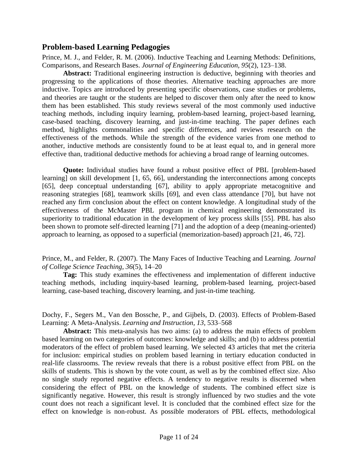## **Problem-based Learning Pedagogies**

Prince, M. J., and Felder, R. M. (2006). Inductive Teaching and Learning Methods: Definitions, Comparisons, and Research Bases. *Journal of Engineering Education, 95*(2), 123–138.

**Abstract:** Traditional engineering instruction is deductive, beginning with theories and progressing to the applications of those theories. Alternative teaching approaches are more inductive. Topics are introduced by presenting specific observations, case studies or problems, and theories are taught or the students are helped to discover them only after the need to know them has been established. This study reviews several of the most commonly used inductive teaching methods, including inquiry learning, problem-based learning, project-based learning, case-based teaching, discovery learning, and just-in-time teaching. The paper defines each method, highlights commonalities and specific differences, and reviews research on the effectiveness of the methods. While the strength of the evidence varies from one method to another, inductive methods are consistently found to be at least equal to, and in general more effective than, traditional deductive methods for achieving a broad range of learning outcomes.

**Quote:** Individual studies have found a robust positive effect of PBL [problem-based learning] on skill development [1, 65, 66], understanding the interconnections among concepts [65], deep conceptual understanding [67], ability to apply appropriate metacognitive and reasoning strategies [68], teamwork skills [69], and even class attendance [70], but have not reached any firm conclusion about the effect on content knowledge. A longitudinal study of the effectiveness of the McMaster PBL program in chemical engineering demonstrated its superiority to traditional education in the development of key process skills [55]. PBL has also been shown to promote self-directed learning [71] and the adoption of a deep (meaning-oriented) approach to learning, as opposed to a superficial (memorization-based) approach [21, 46, 72].

Prince, M., and Felder, R. (2007). The Many Faces of Inductive Teaching and Learning. *Journal of College Science Teaching, 36*(5), 14–20

**Tag:** This study examines the effectiveness and implementation of different inductive teaching methods, including inquiry-based learning, problem-based learning, project-based learning, case-based teaching, discovery learning, and just-in-time teaching.

Dochy, F., Segers M., Van den Bossche, P., and Gijbels, D. (2003). Effects of Problem-Based Learning: A Meta-Analysis. *Learning and Instruction, 13*, 533–568

**Abstract:** This meta-analysis has two aims: (a) to address the main effects of problem based learning on two categories of outcomes: knowledge and skills; and (b) to address potential moderators of the effect of problem based learning. We selected 43 articles that met the criteria for inclusion: empirical studies on problem based learning in tertiary education conducted in real-life classrooms. The review reveals that there is a robust positive effect from PBL on the skills of students. This is shown by the vote count, as well as by the combined effect size. Also no single study reported negative effects. A tendency to negative results is discerned when considering the effect of PBL on the knowledge of students. The combined effect size is significantly negative. However, this result is strongly influenced by two studies and the vote count does not reach a significant level. It is concluded that the combined effect size for the effect on knowledge is non-robust. As possible moderators of PBL effects, methodological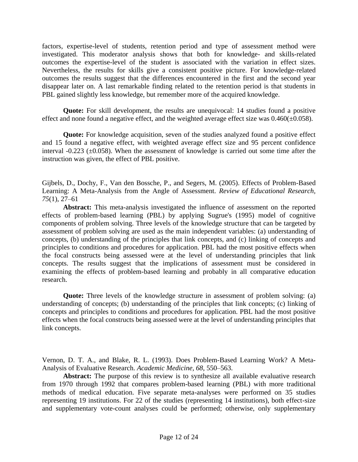factors, expertise-level of students, retention period and type of assessment method were investigated. This moderator analysis shows that both for knowledge- and skills-related outcomes the expertise-level of the student is associated with the variation in effect sizes. Nevertheless, the results for skills give a consistent positive picture. For knowledge-related outcomes the results suggest that the differences encountered in the first and the second year disappear later on. A last remarkable finding related to the retention period is that students in PBL gained slightly less knowledge, but remember more of the acquired knowledge.

**Quote:** For skill development, the results are unequivocal: 14 studies found a positive effect and none found a negative effect, and the weighted average effect size was  $0.460(\pm 0.058)$ .

**Quote:** For knowledge acquisition, seven of the studies analyzed found a positive effect and 15 found a negative effect, with weighted average effect size and 95 percent confidence interval  $-0.223$  ( $\pm 0.058$ ). When the assessment of knowledge is carried out some time after the instruction was given, the effect of PBL positive.

Gijbels, D., Dochy, F., Van den Bossche, P., and Segers, M. (2005). Effects of Problem-Based Learning: A Meta-Analysis from the Angle of Assessment. *Review of Educational Research, 75*(1), 27–61

**Abstract:** This meta-analysis investigated the influence of assessment on the reported effects of problem-based learning (PBL) by applying Sugrue's (1995) model of cognitive components of problem solving. Three levels of the knowledge structure that can be targeted by assessment of problem solving are used as the main independent variables: (a) understanding of concepts, (b) understanding of the principles that link concepts, and (c) linking of concepts and principles to conditions and procedures for application. PBL had the most positive effects when the focal constructs being assessed were at the level of understanding principles that link concepts. The results suggest that the implications of assessment must be considered in examining the effects of problem-based learning and probably in all comparative education research.

**Quote:** Three levels of the knowledge structure in assessment of problem solving: (a) understanding of concepts; (b) understanding of the principles that link concepts; (c) linking of concepts and principles to conditions and procedures for application. PBL had the most positive effects when the focal constructs being assessed were at the level of understanding principles that link concepts.

Vernon, D. T. A., and Blake, R. L. (1993). Does Problem-Based Learning Work? A Meta-Analysis of Evaluative Research. *Academic Medicine, 68*, 550–563.

Abstract: The purpose of this review is to synthesize all available evaluative research from 1970 through 1992 that compares problem-based learning (PBL) with more traditional methods of medical education. Five separate meta-analyses were performed on 35 studies representing 19 institutions. For 22 of the studies (representing 14 institutions), both effect-size and supplementary vote-count analyses could be performed; otherwise, only supplementary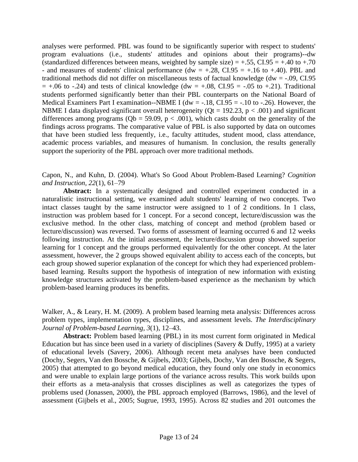analyses were performed. PBL was found to be significantly superior with respect to students' program evaluations (i.e., students' attitudes and opinions about their programs)--dw (standardized differences between means, weighted by sample size) =  $+.55$ , CI.95 =  $+.40$  to  $+.70$ - and measures of students' clinical performance (dw  $= +.28$ , CI.95  $= +.16$  to  $+.40$ ). PBL and traditional methods did not differ on miscellaneous tests of factual knowledge ( $dw = -.09$ , CI.95  $= +.06$  to  $-.24$ ) and tests of clinical knowledge (dw  $= +.08$ , CI.95 =  $-.05$  to  $+.21$ ). Traditional students performed significantly better than their PBL counterparts on the National Board of Medical Examiners Part I examination--NBME I ( $dw = -.18$ , CI.95 = -.10 to -.26). However, the NBME I data displayed significant overall heterogeneity ( $Qt = 192.23$ ,  $p < .001$ ) and significant differences among programs ( $Qb = 59.09$ ,  $p < .001$ ), which casts doubt on the generality of the findings across programs. The comparative value of PBL is also supported by data on outcomes that have been studied less frequently, i.e., faculty attitudes, student mood, class attendance, academic process variables, and measures of humanism. In conclusion, the results generally support the superiority of the PBL approach over more traditional methods.

Capon, N., and Kuhn, D. (2004). What's So Good About Problem-Based Learning? *Cognition and Instruction, 22*(1), 61–79

**Abstract:** In a systematically designed and controlled experiment conducted in a naturalistic instructional setting, we examined adult students' learning of two concepts. Two intact classes taught by the same instructor were assigned to 1 of 2 conditions. In 1 class, instruction was problem based for 1 concept. For a second concept, lecture/discussion was the exclusive method. In the other class, matching of concept and method (problem based or lecture/discussion) was reversed. Two forms of assessment of learning occurred 6 and 12 weeks following instruction. At the initial assessment, the lecture/discussion group showed superior learning for 1 concept and the groups performed equivalently for the other concept. At the later assessment, however, the 2 groups showed equivalent ability to access each of the concepts, but each group showed superior explanation of the concept for which they had experienced problembased learning. Results support the hypothesis of integration of new information with existing knowledge structures activated by the problem-based experience as the mechanism by which problem-based learning produces its benefits.

Walker, A., & Leary, H. M. (2009). A problem based learning meta analysis: Differences across problem types, implementation types, disciplines, and assessment levels. *The Interdisciplinary Journal of Problem-based Learning, 3*(1), 12–43.

**Abstract:** Problem based learning (PBL) in its most current form originated in Medical Education but has since been used in a variety of disciplines (Savery & Duffy, 1995) at a variety of educational levels (Savery, 2006). Although recent meta analyses have been conducted (Dochy, Segers, Van den Bossche, & Gijbels, 2003; Gijbels, Dochy, Van den Bossche, & Segers, 2005) that attempted to go beyond medical education, they found only one study in economics and were unable to explain large portions of the variance across results. This work builds upon their efforts as a meta-analysis that crosses disciplines as well as categorizes the types of problems used (Jonassen, 2000), the PBL approach employed (Barrows, 1986), and the level of assessment (Gijbels et al., 2005; Sugrue, 1993, 1995). Across 82 studies and 201 outcomes the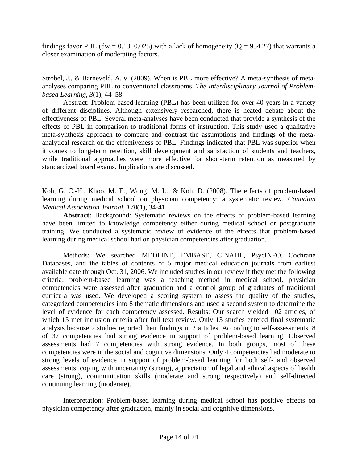findings favor PBL (dw =  $0.13\pm0.025$ ) with a lack of homogeneity (Q = 954.27) that warrants a closer examination of moderating factors.

Strobel, J., & Barneveld, A. v. (2009). When is PBL more effective? A meta-synthesis of metaanalyses comparing PBL to conventional classrooms. *The Interdisciplinary Journal of Problembased Learning, 3*(1), 44–58.

Abstract: Problem-based learning (PBL) has been utilized for over 40 years in a variety of different disciplines. Although extensively researched, there is heated debate about the effectiveness of PBL. Several meta-analyses have been conducted that provide a synthesis of the effects of PBL in comparison to traditional forms of instruction. This study used a qualitative meta-synthesis approach to compare and contrast the assumptions and findings of the metaanalytical research on the effectiveness of PBL. Findings indicated that PBL was superior when it comes to long-term retention, skill development and satisfaction of students and teachers, while traditional approaches were more effective for short-term retention as measured by standardized board exams. Implications are discussed.

Koh, G. C.-H., Khoo, M. E., Wong, M. L., & Koh, D. (2008). The effects of problem-based learning during medical school on physician competency: a systematic review. *Canadian Medical Association Journal, 178*(1), 34-41.

**Abstract:** Background: Systematic reviews on the effects of problem-based learning have been limited to knowledge competency either during medical school or postgraduate training. We conducted a systematic review of evidence of the effects that problem-based learning during medical school had on physician competencies after graduation.

Methods: We searched MEDLINE, EMBASE, CINAHL, PsycINFO, Cochrane Databases, and the tables of contents of 5 major medical education journals from earliest available date through Oct. 31, 2006. We included studies in our review if they met the following criteria: problem-based learning was a teaching method in medical school, physician competencies were assessed after graduation and a control group of graduates of traditional curricula was used. We developed a scoring system to assess the quality of the studies, categorized competencies into 8 thematic dimensions and used a second system to determine the level of evidence for each competency assessed. Results: Our search yielded 102 articles, of which 15 met inclusion criteria after full text review. Only 13 studies entered final systematic analysis because 2 studies reported their findings in 2 articles. According to self-assessments, 8 of 37 competencies had strong evidence in support of problem-based learning. Observed assessments had 7 competencies with strong evidence. In both groups, most of these competencies were in the social and cognitive dimensions. Only 4 competencies had moderate to strong levels of evidence in support of problem-based learning for both self- and observed assessments: coping with uncertainty (strong), appreciation of legal and ethical aspects of health care (strong), communication skills (moderate and strong respectively) and self-directed continuing learning (moderate).

Interpretation: Problem-based learning during medical school has positive effects on physician competency after graduation, mainly in social and cognitive dimensions.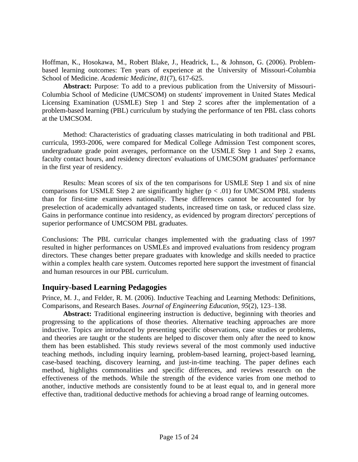Hoffman, K., Hosokawa, M., Robert Blake, J., Headrick, L., & Johnson, G. (2006). Problembased learning outcomes: Ten years of experience at the University of Missouri-Columbia School of Medicine. *Academic Medicine, 81*(7), 617-625.

**Abstract:** Purpose: To add to a previous publication from the University of Missouri-Columbia School of Medicine (UMCSOM) on students' improvement in United States Medical Licensing Examination (USMLE) Step 1 and Step 2 scores after the implementation of a problem-based learning (PBL) curriculum by studying the performance of ten PBL class cohorts at the UMCSOM.

Method: Characteristics of graduating classes matriculating in both traditional and PBL curricula, 1993-2006, were compared for Medical College Admission Test component scores, undergraduate grade point averages, performance on the USMLE Step 1 and Step 2 exams, faculty contact hours, and residency directors' evaluations of UMCSOM graduates' performance in the first year of residency.

Results: Mean scores of six of the ten comparisons for USMLE Step 1 and six of nine comparisons for USMLE Step 2 are significantly higher ( $p < .01$ ) for UMCSOM PBL students than for first-time examinees nationally. These differences cannot be accounted for by preselection of academically advantaged students, increased time on task, or reduced class size. Gains in performance continue into residency, as evidenced by program directors' perceptions of superior performance of UMCSOM PBL graduates.

Conclusions: The PBL curricular changes implemented with the graduating class of 1997 resulted in higher performances on USMLEs and improved evaluations from residency program directors. These changes better prepare graduates with knowledge and skills needed to practice within a complex health care system. Outcomes reported here support the investment of financial and human resources in our PBL curriculum.

## **Inquiry-based Learning Pedagogies**

Prince, M. J., and Felder, R. M. (2006). Inductive Teaching and Learning Methods: Definitions, Comparisons, and Research Bases. *Journal of Engineering Education, 95*(2), 123–138.

**Abstract:** Traditional engineering instruction is deductive, beginning with theories and progressing to the applications of those theories. Alternative teaching approaches are more inductive. Topics are introduced by presenting specific observations, case studies or problems, and theories are taught or the students are helped to discover them only after the need to know them has been established. This study reviews several of the most commonly used inductive teaching methods, including inquiry learning, problem-based learning, project-based learning, case-based teaching, discovery learning, and just-in-time teaching. The paper defines each method, highlights commonalities and specific differences, and reviews research on the effectiveness of the methods. While the strength of the evidence varies from one method to another, inductive methods are consistently found to be at least equal to, and in general more effective than, traditional deductive methods for achieving a broad range of learning outcomes.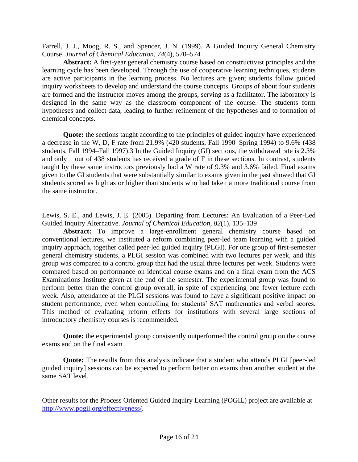Farrell, J. J., Moog, R. S., and Spencer, J. N. (1999). A Guided Inquiry General Chemistry Course. *Journal of Chemical Education, 74*(4), 570–574

**Abstract:** A first-year general chemistry course based on constructivist principles and the learning cycle has been developed. Through the use of cooperative learning techniques, students are active participants in the learning process. No lectures are given; students follow guided inquiry worksheets to develop and understand the course concepts. Groups of about four students are formed and the instructor moves among the groups, serving as a facilitator. The laboratory is designed in the same way as the classroom component of the course. The students form hypotheses and collect data, leading to further refinement of the hypotheses and to formation of chemical concepts.

**Quote:** the sections taught according to the principles of guided inquiry have experienced a decrease in the W, D, F rate from 21.9% (420 students, Fall 1990–Spring 1994) to 9.6% (438 students, Fall 1994–Fall 1997).3 In the Guided Inquiry (GI) sections, the withdrawal rate is 2.3% and only 1 out of 438 students has received a grade of F in these sections. In contrast, students taught by these same instructors previously had a W rate of 9.3% and 3.6% failed. Final exams given to the GI students that were substantially similar to exams given in the past showed that GI students scored as high as or higher than students who had taken a more traditional course from the same instructor.

Lewis, S. E., and Lewis, J. E. (2005). Departing from Lectures: An Evaluation of a Peer-Led Guided Inquiry Alternative. *Journal of Chemical Education, 82*(1), 135–139

**Abstract:** To improve a large-enrollment general chemistry course based on conventional lectures, we instituted a reform combining peer-led team learning with a guided inquiry approach, together called peer-led guided inquiry (PLGI). For one group of first-semester general chemistry students, a PLGI session was combined with two lectures per week, and this group was compared to a control group that had the usual three lectures per week. Students were compared based on performance on identical course exams and on a final exam from the ACS Examinations Institute given at the end of the semester. The experimental group was found to perform better than the control group overall, in spite of experiencing one fewer lecture each week. Also, attendance at the PLGI sessions was found to have a significant positive impact on student performance, even when controlling for students' SAT mathematics and verbal scores. This method of evaluating reform effects for institutions with several large sections of introductory chemistry courses is recommended.

**Quote:** the experimental group consistently outperformed the control group on the course exams and on the final exam

**Quote:** The results from this analysis indicate that a student who attends PLGI [peer-led guided inquiry] sessions can be expected to perform better on exams than another student at the same SAT level.

Other results for the Process Oriented Guided Inquiry Learning (POGIL) project are available at [http://www.pogil.org/effectiveness/.](http://www.pogil.org/effectiveness/)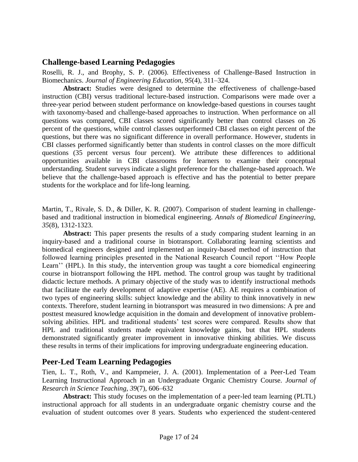# **Challenge-based Learning Pedagogies**

Roselli, R. J., and Brophy, S. P. (2006). Effectiveness of Challenge-Based Instruction in Biomechanics. *Journal of Engineering Education, 95*(4), 311–324.

**Abstract:** Studies were designed to determine the effectiveness of challenge-based instruction (CBI) versus traditional lecture-based instruction. Comparisons were made over a three-year period between student performance on knowledge-based questions in courses taught with taxonomy-based and challenge-based approaches to instruction. When performance on all questions was compared, CBI classes scored significantly better than control classes on 26 percent of the questions, while control classes outperformed CBI classes on eight percent of the questions, but there was no significant difference in overall performance. However, students in CBI classes performed significantly better than students in control classes on the more difficult questions (35 percent versus four percent). We attribute these differences to additional opportunities available in CBI classrooms for learners to examine their conceptual understanding. Student surveys indicate a slight preference for the challenge-based approach. We believe that the challenge-based approach is effective and has the potential to better prepare students for the workplace and for life-long learning.

Martin, T., Rivale, S. D., & Diller, K. R. (2007). Comparison of student learning in challengebased and traditional instruction in biomedical engineering. *Annals of Biomedical Engineering, 35*(8), 1312-1323.

Abstract: This paper presents the results of a study comparing student learning in an inquiry-based and a traditional course in biotransport. Collaborating learning scientists and biomedical engineers designed and implemented an inquiry-based method of instruction that followed learning principles presented in the National Research Council report "How People" Learn'' (HPL). In this study, the intervention group was taught a core biomedical engineering course in biotransport following the HPL method. The control group was taught by traditional didactic lecture methods. A primary objective of the study was to identify instructional methods that facilitate the early development of adaptive expertise (AE). AE requires a combination of two types of engineering skills: subject knowledge and the ability to think innovatively in new contexts. Therefore, student learning in biotransport was measured in two dimensions: A pre and posttest measured knowledge acquisition in the domain and development of innovative problemsolving abilities. HPL and traditional students' test scores were compared. Results show that HPL and traditional students made equivalent knowledge gains, but that HPL students demonstrated significantly greater improvement in innovative thinking abilities. We discuss these results in terms of their implications for improving undergraduate engineering education.

# **Peer-Led Team Learning Pedagogies**

Tien, L. T., Roth, V., and Kampmeier, J. A. (2001). Implementation of a Peer-Led Team Learning Instructional Approach in an Undergraduate Organic Chemistry Course. *Journal of Research in Science Teaching, 39*(7), 606–632

**Abstract:** This study focuses on the implementation of a peer-led team learning (PLTL) instructional approach for all students in an undergraduate organic chemistry course and the evaluation of student outcomes over 8 years. Students who experienced the student-centered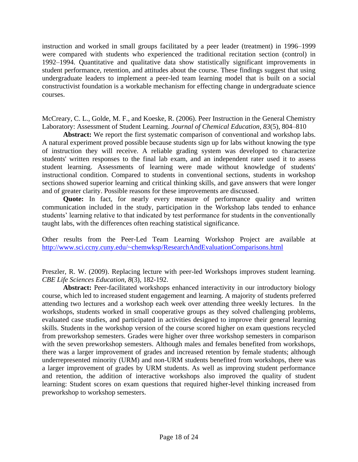instruction and worked in small groups facilitated by a peer leader (treatment) in 1996–1999 were compared with students who experienced the traditional recitation section (control) in 1992–1994. Quantitative and qualitative data show statistically significant improvements in student performance, retention, and attitudes about the course. These findings suggest that using undergraduate leaders to implement a peer-led team learning model that is built on a social constructivist foundation is a workable mechanism for effecting change in undergraduate science courses.

McCreary, C. L., Golde, M. F., and Koeske, R. (2006). Peer Instruction in the General Chemistry Laboratory: Assessment of Student Learning. *Journal of Chemical Education, 83*(5), 804–810

**Abstract:** We report the first systematic comparison of conventional and workshop labs. A natural experiment proved possible because students sign up for labs without knowing the type of instruction they will receive. A reliable grading system was developed to characterize students' written responses to the final lab exam, and an independent rater used it to assess student learning. Assessments of learning were made without knowledge of students' instructional condition. Compared to students in conventional sections, students in workshop sections showed superior learning and critical thinking skills, and gave answers that were longer and of greater clarity. Possible reasons for these improvements are discussed.

**Quote:** In fact, for nearly every measure of performance quality and written communication included in the study, participation in the Workshop labs tended to enhance students' learning relative to that indicated by test performance for students in the conventionally taught labs, with the differences often reaching statistical significance.

Other results from the Peer-Led Team Learning Workshop Project are available at <http://www.sci.ccny.cuny.edu/~chemwksp/ResearchAndEvaluationComparisons.html>

Preszler, R. W. (2009). Replacing lecture with peer-led Workshops improves student learning. *CBE Life Sciences Education, 8*(3), 182-192.

**Abstract:** Peer-facilitated workshops enhanced interactivity in our introductory biology course, which led to increased student engagement and learning. A majority of students preferred attending two lectures and a workshop each week over attending three weekly lectures. In the workshops, students worked in small cooperative groups as they solved challenging problems, evaluated case studies, and participated in activities designed to improve their general learning skills. Students in the workshop version of the course scored higher on exam questions recycled from preworkshop semesters. Grades were higher over three workshop semesters in comparison with the seven preworkshop semesters. Although males and females benefited from workshops, there was a larger improvement of grades and increased retention by female students; although underrepresented minority (URM) and non-URM students benefited from workshops, there was a larger improvement of grades by URM students. As well as improving student performance and retention, the addition of interactive workshops also improved the quality of student learning: Student scores on exam questions that required higher-level thinking increased from preworkshop to workshop semesters.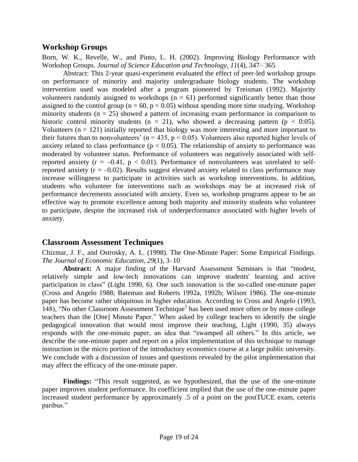# **Workshop Groups**

Born, W. K., Revelle, W., and Pinto, L. H. (2002). Improving Biology Performance with Workshop Groups. *Journal of Science Education and Technology, 11*(4), 347– 365

Abstract: This 2-year quasi-experiment evaluated the effect of peer-led workshop groups on performance of minority and majority undergraduate biology students. The workshop intervention used was modeled after a program pioneered by Treisman (1992). Majority volunteers randomly assigned to workshops  $(n = 61)$  performed significantly better than those assigned to the control group ( $n = 60$ ,  $p < 0.05$ ) without spending more time studying. Workshop minority students ( $n = 25$ ) showed a pattern of increasing exam performance in comparison to historic control minority students ( $n = 21$ ), who showed a decreasing pattern ( $p < 0.05$ ). Volunteers ( $n = 121$ ) initially reported that biology was more interesting and more important to their futures than to nonvolunteers' ( $n = 435$ ,  $p < 0.05$ ). Volunteers also reported higher levels of anxiety related to class performance ( $p < 0.05$ ). The relationship of anxiety to performance was moderated by volunteer status. Performance of volunteers was negatively associated with selfreported anxiety ( $r = -0.41$ ,  $p < 0.01$ ). Performance of nonvolunteers was unrelated to selfreported anxiety ( $r = -0.02$ ). Results suggest elevated anxiety related to class performance may increase willingness to participate in activities such as workshop interventions. In addition, students who volunteer for interventions such as workshops may be at increased risk of performance decrements associated with anxiety. Even so, workshop programs appear to be an effective way to promote excellence among both majority and minority students who volunteer to participate, despite the increased risk of underperformance associated with higher levels of anxiety.

## **Classroom Assessment Techniques**

Chizmar, J. F., and Ostrosky, A. L. (1998). The One-Minute Paper: Some Empirical Findings. *The Journal of Economic Education, 29*(1), 3–10

Abstract: A major finding of the Harvard Assessment Seminars is that "modest, relatively simple and low-tech innovations can improve students' learning and active participation in class" (Light 1990, 6). One such innovation is the so-called one-minute paper (Cross and Angelo 1988; Bateman and Roberts 1992a, 1992b; Wilson 1986). The one-minute paper has become rather ubiquitous in higher education. According to Cross and Angelo (1993,  $148$ ), "No other Classroom Assessment Technique<sup>1</sup> has been used more often or by more college teachers than the [One] Minute Paper." When asked by college teachers to identify the single pedagogical innovation that would most improve their teaching, Light (1990, 35) always responds with the one-minute paper, an idea that "swamped all others." In this article, we describe the one-minute paper and report on a pilot implementation of this technique to manage instruction in the micro portion of the introductory economics course at a large public university. We conclude with a discussion of issues and questions revealed by the pilot implementation that may affect the efficacy of the one-minute paper.

Findings: "This result suggested, as we hypothesized, that the use of the one-minute paper improves student performance. Its coefficient implied that the use of the one-minute paper increased student performance by approximately .5 of a point on the postTUCE exam, ceteris paribus."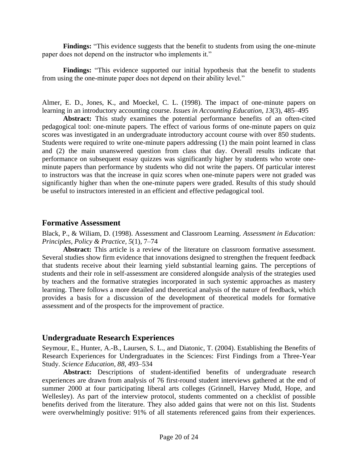**Findings:** "This evidence suggests that the benefit to students from using the one-minute paper does not depend on the instructor who implements it."

**Findings:** "This evidence supported our initial hypothesis that the benefit to students from using the one-minute paper does not depend on their ability level."

Almer, E. D., Jones, K., and Moeckel, C. L. (1998). The impact of one-minute papers on learning in an introductory accounting course. *Issues in Accounting Education, 13*(3), 485–495

**Abstract:** This study examines the potential performance benefits of an often-cited pedagogical tool: one-minute papers. The effect of various forms of one-minute papers on quiz scores was investigated in an undergraduate introductory account course with over 850 students. Students were required to write one-minute papers addressing (1) the main point learned in class and (2) the main unanswered question from class that day. Overall results indicate that performance on subsequent essay quizzes was significantly higher by students who wrote oneminute papers than performance by students who did not write the papers. Of particular interest to instructors was that the increase in quiz scores when one-minute papers were not graded was significantly higher than when the one-minute papers were graded. Results of this study should be useful to instructors interested in an efficient and effective pedagogical tool.

#### **Formative Assessment**

Black, P., & Wiliam, D. (1998). Assessment and Classroom Learning. *Assessment in Education: Principles, Policy & Practice, 5*(1), 7–74

**Abstract:** This article is a review of the literature on classroom formative assessment. Several studies show firm evidence that innovations designed to strengthen the frequent feedback that students receive about their learning yield substantial learning gains. The perceptions of students and their role in self-assessment are considered alongside analysis of the strategies used by teachers and the formative strategies incorporated in such systemic approaches as mastery learning. There follows a more detailed and theoretical analysis of the nature of feedback, which provides a basis for a discussion of the development of theoretical models for formative assessment and of the prospects for the improvement of practice.

#### **Undergraduate Research Experiences**

Seymour, E., Hunter, A.-B., Laursen, S. L., and Diatonic, T. (2004). Establishing the Benefits of Research Experiences for Undergraduates in the Sciences: First Findings from a Three-Year Study. *Science Education, 88*, 493–534

**Abstract:** Descriptions of student-identified benefits of undergraduate research experiences are drawn from analysis of 76 first-round student interviews gathered at the end of summer 2000 at four participating liberal arts colleges (Grinnell, Harvey Mudd, Hope, and Wellesley). As part of the interview protocol, students commented on a checklist of possible benefits derived from the literature. They also added gains that were not on this list. Students were overwhelmingly positive: 91% of all statements referenced gains from their experiences.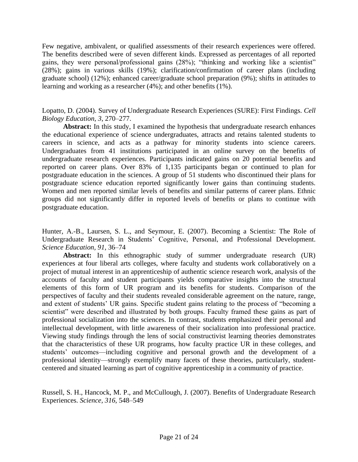Few negative, ambivalent, or qualified assessments of their research experiences were offered. The benefits described were of seven different kinds. Expressed as percentages of all reported gains, they were personal/professional gains (28%); "thinking and working like a scientist" (28%); gains in various skills (19%); clarification/confirmation of career plans (including graduate school) (12%); enhanced career/graduate school preparation (9%); shifts in attitudes to learning and working as a researcher (4%); and other benefits (1%).

Lopatto, D. (2004). Survey of Undergraduate Research Experiences (SURE): First Findings. *Cell Biology Education, 3*, 270–277.

**Abstract:** In this study, I examined the hypothesis that undergraduate research enhances the educational experience of science undergraduates, attracts and retains talented students to careers in science, and acts as a pathway for minority students into science careers. Undergraduates from 41 institutions participated in an online survey on the benefits of undergraduate research experiences. Participants indicated gains on 20 potential benefits and reported on career plans. Over 83% of 1,135 participants began or continued to plan for postgraduate education in the sciences. A group of 51 students who discontinued their plans for postgraduate science education reported significantly lower gains than continuing students. Women and men reported similar levels of benefits and similar patterns of career plans. Ethnic groups did not significantly differ in reported levels of benefits or plans to continue with postgraduate education.

Hunter, A.-B., Laursen, S. L., and Seymour, E. (2007). Becoming a Scientist: The Role of Undergraduate Research in Students' Cognitive, Personal, and Professional Development. *Science Education, 91*, 36–74

**Abstract:** In this ethnographic study of summer undergraduate research (UR) experiences at four liberal arts colleges, where faculty and students work collaboratively on a project of mutual interest in an apprenticeship of authentic science research work, analysis of the accounts of faculty and student participants yields comparative insights into the structural elements of this form of UR program and its benefits for students. Comparison of the perspectives of faculty and their students revealed considerable agreement on the nature, range, and extent of students' UR gains. Specific student gains relating to the process of "becoming a scientist" were described and illustrated by both groups. Faculty framed these gains as part of professional socialization into the sciences. In contrast, students emphasized their personal and intellectual development, with little awareness of their socialization into professional practice. Viewing study findings through the lens of social constructivist learning theories demonstrates that the characteristics of these UR programs, how faculty practice UR in these colleges, and students' outcomes—including cognitive and personal growth and the development of a professional identity—strongly exemplify many facets of these theories, particularly, studentcentered and situated learning as part of cognitive apprenticeship in a community of practice.

Russell, S. H., Hancock, M. P., and McCullough, J. (2007). Benefits of Undergraduate Research Experiences. *Science, 316*, 548–549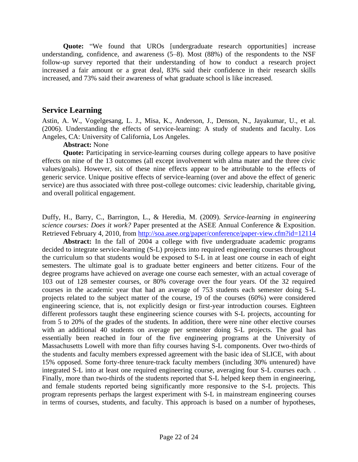Quote: "We found that UROs [undergraduate research opportunities] increase understanding, confidence, and awareness (5–8). Most (88%) of the respondents to the NSF follow-up survey reported that their understanding of how to conduct a research project increased a fair amount or a great deal, 83% said their confidence in their research skills increased, and 73% said their awareness of what graduate school is like increased.

## **Service Learning**

Astin, A. W., Vogelgesang, L. J., Misa, K., Anderson, J., Denson, N., Jayakumar, U., et al. (2006). Understanding the effects of service-learning: A study of students and faculty. Los Angeles, CA: University of California, Los Angeles.

#### **Abstract:** None

**Quote:** Participating in service-learning courses during college appears to have positive effects on nine of the 13 outcomes (all except involvement with alma mater and the three civic values/goals). However, six of these nine effects appear to be attributable to the effects of generic service. Unique positive effects of service-learning (over and above the effect of generic service) are thus associated with three post-college outcomes: civic leadership, charitable giving, and overall political engagement.

Duffy, H., Barry, C., Barrington, L., & Heredia, M. (2009). *Service-learning in engineering science courses: Does it work?* Paper presented at the ASEE Annual Conference & Exposition. Retrieved February 4, 2010, from<http://soa.asee.org/paper/conference/paper-view.cfm?id=12114>

**Abstract:** In the fall of 2004 a college with five undergraduate academic programs decided to integrate service-learning (S-L) projects into required engineering courses throughout the curriculum so that students would be exposed to S-L in at least one course in each of eight semesters. The ultimate goal is to graduate better engineers and better citizens. Four of the degree programs have achieved on average one course each semester, with an actual coverage of 103 out of 128 semester courses, or 80% coverage over the four years. Of the 32 required courses in the academic year that had an average of 753 students each semester doing S-L projects related to the subject matter of the course, 19 of the courses (60%) were considered engineering science, that is, not explicitly design or first-year introduction courses. Eighteen different professors taught these engineering science courses with S-L projects, accounting for from 5 to 20% of the grades of the students. In addition, there were nine other elective courses with an additional 40 students on average per semester doing S-L projects. The goal has essentially been reached in four of the five engineering programs at the University of Massachusetts Lowell with more than fifty courses having S-L components. Over two-thirds of the students and faculty members expressed agreement with the basic idea of SLICE, with about 15% opposed. Some forty-three tenure-track faculty members (including 30% untenured) have integrated S-L into at least one required engineering course, averaging four S-L courses each. . Finally, more than two-thirds of the students reported that S-L helped keep them in engineering, and female students reported being significantly more responsive to the S-L projects. This program represents perhaps the largest experiment with S-L in mainstream engineering courses in terms of courses, students, and faculty. This approach is based on a number of hypotheses,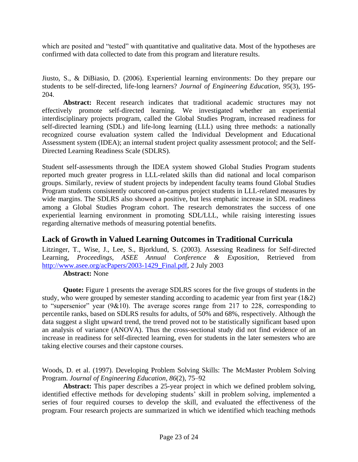which are posited and "tested" with quantitative and qualitative data. Most of the hypotheses are confirmed with data collected to date from this program and literature results.

Jiusto, S., & DiBiasio, D. (2006). Experiential learning environments: Do they prepare our students to be self-directed, life-long learners? *Journal of Engineering Education, 95*(3), 195- 204.

**Abstract:** Recent research indicates that traditional academic structures may not effectively promote self-directed learning. We investigated whether an experiential interdisciplinary projects program, called the Global Studies Program, increased readiness for self-directed learning (SDL) and life-long learning (LLL) using three methods: a nationally recognized course evaluation system called the Individual Development and Educational Assessment system (IDEA); an internal student project quality assessment protocol; and the Self-Directed Learning Readiness Scale (SDLRS).

Student self-assessments through the IDEA system showed Global Studies Program students reported much greater progress in LLL-related skills than did national and local comparison groups. Similarly, review of student projects by independent faculty teams found Global Studies Program students consistently outscored on-campus project students in LLL-related measures by wide margins. The SDLRS also showed a positive, but less emphatic increase in SDL readiness among a Global Studies Program cohort. The research demonstrates the success of one experiential learning environment in promoting SDL/LLL, while raising interesting issues regarding alternative methods of measuring potential benefits.

## **Lack of Growth in Valued Learning Outcomes in Traditional Curricula**

Litzinger, T., Wise, J., Lee, S., Bjorklund, S. (2003). Assessing Readiness for Self-directed Learning, *Proceedings, ASEE Annual Conference & Exposition*, Retrieved from [http://www.asee.org/acPapers/2003-1429\\_Final.pdf,](http://www.asee.org/acPapers/2003-1429_Final.pdf) 2 July 2003

**Abstract:** None

**Quote:** Figure 1 presents the average SDLRS scores for the five groups of students in the study, who were grouped by semester standing according to academic year from first year (1&2) to "supersenior" year  $(9\&10)$ . The average scores range from 217 to 228, corresponding to percentile ranks, based on SDLRS results for adults, of 50% and 68%, respectively. Although the data suggest a slight upward trend, the trend proved not to be statistically significant based upon an analysis of variance (ANOVA). Thus the cross-sectional study did not find evidence of an increase in readiness for self-directed learning, even for students in the later semesters who are taking elective courses and their capstone courses.

Woods, D. et al. (1997). Developing Problem Solving Skills: The McMaster Problem Solving Program. *Journal of Engineering Education, 86*(2), 75–92

**Abstract:** This paper describes a 25-year project in which we defined problem solving, identified effective methods for developing students' skill in problem solving, implemented a series of four required courses to develop the skill, and evaluated the effectiveness of the program. Four research projects are summarized in which we identified which teaching methods